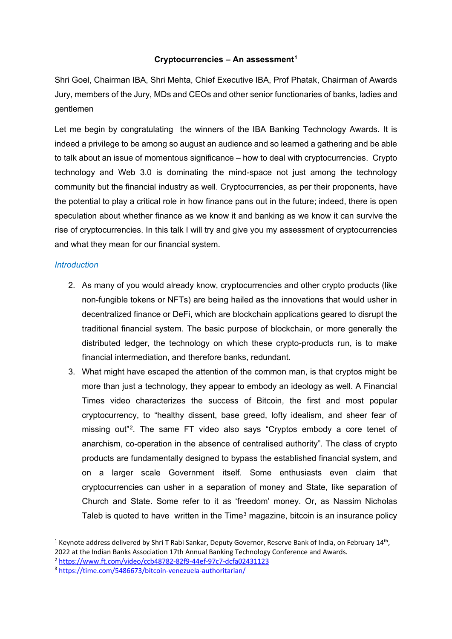# **Cryptocurrencies – An assessment[1](#page-0-0)**

Shri Goel, Chairman IBA, Shri Mehta, Chief Executive IBA, Prof Phatak, Chairman of Awards Jury, members of the Jury, MDs and CEOs and other senior functionaries of banks, ladies and gentlemen

Let me begin by congratulating the winners of the IBA Banking Technology Awards. It is indeed a privilege to be among so august an audience and so learned a gathering and be able to talk about an issue of momentous significance – how to deal with cryptocurrencies. Crypto technology and Web 3.0 is dominating the mind-space not just among the technology community but the financial industry as well. Cryptocurrencies, as per their proponents, have the potential to play a critical role in how finance pans out in the future; indeed, there is open speculation about whether finance as we know it and banking as we know it can survive the rise of cryptocurrencies. In this talk I will try and give you my assessment of cryptocurrencies and what they mean for our financial system.

# *Introduction*

- 2. As many of you would already know, cryptocurrencies and other crypto products (like non-fungible tokens or NFTs) are being hailed as the innovations that would usher in decentralized finance or DeFi, which are blockchain applications geared to disrupt the traditional financial system. The basic purpose of blockchain, or more generally the distributed ledger, the technology on which these crypto-products run, is to make financial intermediation, and therefore banks, redundant.
- 3. What might have escaped the attention of the common man, is that cryptos might be more than just a technology, they appear to embody an ideology as well. A Financial Times video characterizes the success of Bitcoin, the first and most popular cryptocurrency, to "healthy dissent, base greed, lofty idealism, and sheer fear of missing out"[2.](#page-0-1) The same FT video also says "Cryptos embody a core tenet of anarchism, co-operation in the absence of centralised authority". The class of crypto products are fundamentally designed to bypass the established financial system, and on a larger scale Government itself. Some enthusiasts even claim that cryptocurrencies can usher in a separation of money and State, like separation of Church and State. Some refer to it as 'freedom' money. Or, as Nassim Nicholas Taleb is quoted to have written in the Time<sup>[3](#page-0-2)</sup> magazine, bitcoin is an insurance policy

<span id="page-0-0"></span><sup>&</sup>lt;sup>1</sup> Keynote address delivered by Shri T Rabi Sankar, Deputy Governor, Reserve Bank of India, on February 14<sup>th</sup>, 2022 at the Indian Banks Association 17th Annual Banking Technology Conference and Awards.

<span id="page-0-1"></span><sup>2</sup> <https://www.ft.com/video/ccb48782-82f9-44ef-97c7-dcfa02431123>

<span id="page-0-2"></span><sup>3</sup> <https://time.com/5486673/bitcoin-venezuela-authoritarian/>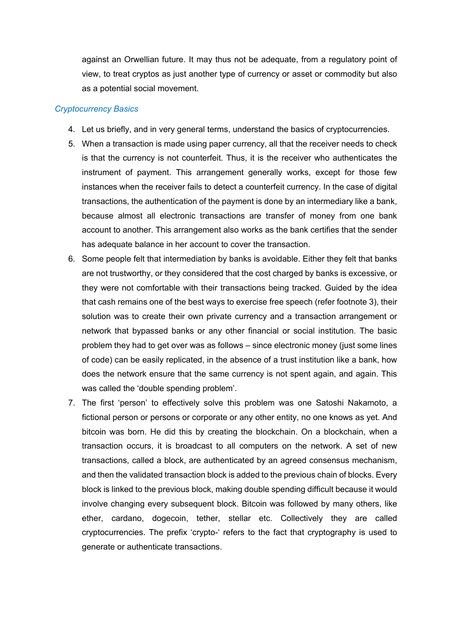against an Orwellian future. It may thus not be adequate, from a regulatory point of view, to treat cryptos as just another type of currency or asset or commodity but also as a potential social movement.

## *Cryptocurrency Basics*

- 4. Let us briefly, and in very general terms, understand the basics of cryptocurrencies.
- 5. When a transaction is made using paper currency, all that the receiver needs to check is that the currency is not counterfeit. Thus, it is the receiver who authenticates the instrument of payment. This arrangement generally works, except for those few instances when the receiver fails to detect a counterfeit currency. In the case of digital transactions, the authentication of the payment is done by an intermediary like a bank, because almost all electronic transactions are transfer of money from one bank account to another. This arrangement also works as the bank certifies that the sender has adequate balance in her account to cover the transaction.
- 6. Some people felt that intermediation by banks is avoidable. Either they felt that banks are not trustworthy, or they considered that the cost charged by banks is excessive, or they were not comfortable with their transactions being tracked. Guided by the idea that cash remains one of the best ways to exercise free speech (refer footnote 3), their solution was to create their own private currency and a transaction arrangement or network that bypassed banks or any other financial or social institution. The basic problem they had to get over was as follows – since electronic money (just some lines of code) can be easily replicated, in the absence of a trust institution like a bank, how does the network ensure that the same currency is not spent again, and again. This was called the 'double spending problem'.
- 7. The first 'person' to effectively solve this problem was one Satoshi Nakamoto, a fictional person or persons or corporate or any other entity, no one knows as yet. And bitcoin was born. He did this by creating the blockchain. On a blockchain, when a transaction occurs, it is broadcast to all computers on the network. A set of new transactions, called a block, are authenticated by an agreed consensus mechanism, and then the validated transaction block is added to the previous chain of blocks. Every block is linked to the previous block, making double spending difficult because it would involve changing every subsequent block. Bitcoin was followed by many others, like ether, cardano, dogecoin, tether, stellar etc. Collectively they are called cryptocurrencies. The prefix 'crypto-' refers to the fact that cryptography is used to generate or authenticate transactions.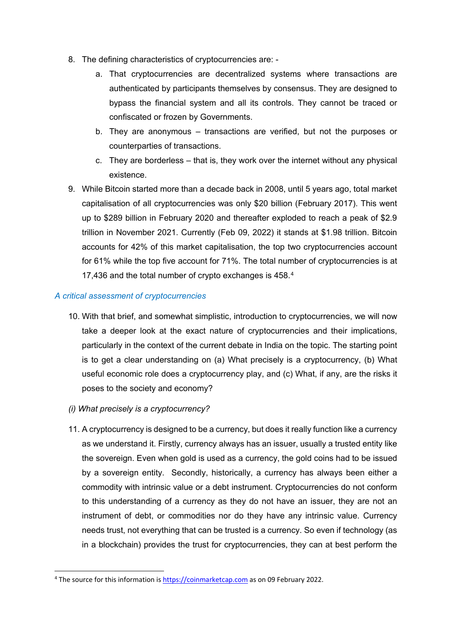- 8. The defining characteristics of cryptocurrencies are:
	- a. That cryptocurrencies are decentralized systems where transactions are authenticated by participants themselves by consensus. They are designed to bypass the financial system and all its controls. They cannot be traced or confiscated or frozen by Governments.
	- b. They are anonymous transactions are verified, but not the purposes or counterparties of transactions.
	- c. They are borderless that is, they work over the internet without any physical existence.
- 9. While Bitcoin started more than a decade back in 2008, until 5 years ago, total market capitalisation of all cryptocurrencies was only \$20 billion (February 2017). This went up to \$289 billion in February 2020 and thereafter exploded to reach a peak of \$2.9 trillion in November 2021. Currently (Feb 09, 2022) it stands at \$1.98 trillion. Bitcoin accounts for 42% of this market capitalisation, the top two cryptocurrencies account for 61% while the top five account for 71%. The total number of cryptocurrencies is at 17,436 and the total number of crypto exchanges is 458.[4](#page-2-0)

## *A critical assessment of cryptocurrencies*

- 10. With that brief, and somewhat simplistic, introduction to cryptocurrencies, we will now take a deeper look at the exact nature of cryptocurrencies and their implications, particularly in the context of the current debate in India on the topic. The starting point is to get a clear understanding on (a) What precisely is a cryptocurrency, (b) What useful economic role does a cryptocurrency play, and (c) What, if any, are the risks it poses to the society and economy?
- *(i) What precisely is a cryptocurrency?*
- 11. A cryptocurrency is designed to be a currency, but does it really function like a currency as we understand it. Firstly, currency always has an issuer, usually a trusted entity like the sovereign. Even when gold is used as a currency, the gold coins had to be issued by a sovereign entity. Secondly, historically, a currency has always been either a commodity with intrinsic value or a debt instrument. Cryptocurrencies do not conform to this understanding of a currency as they do not have an issuer, they are not an instrument of debt, or commodities nor do they have any intrinsic value. Currency needs trust, not everything that can be trusted is a currency. So even if technology (as in a blockchain) provides the trust for cryptocurrencies, they can at best perform the

<span id="page-2-0"></span> <sup>4</sup> The source for this information i[s https://coinmarketcap.com](https://coinmarketcap.com/) as on 09 February 2022.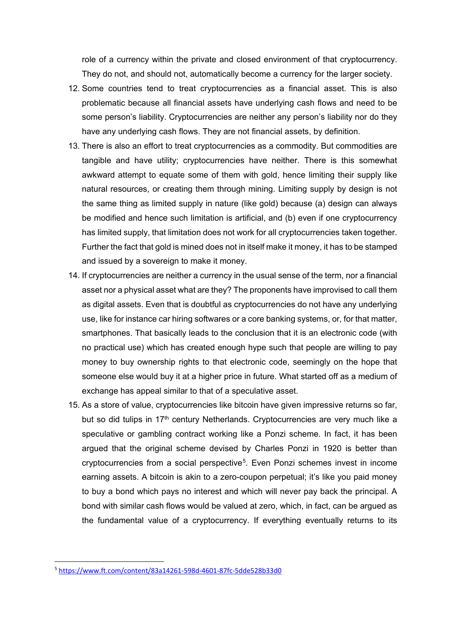role of a currency within the private and closed environment of that cryptocurrency. They do not, and should not, automatically become a currency for the larger society.

- 12. Some countries tend to treat cryptocurrencies as a financial asset. This is also problematic because all financial assets have underlying cash flows and need to be some person's liability. Cryptocurrencies are neither any person's liability nor do they have any underlying cash flows. They are not financial assets, by definition.
- 13. There is also an effort to treat cryptocurrencies as a commodity. But commodities are tangible and have utility; cryptocurrencies have neither. There is this somewhat awkward attempt to equate some of them with gold, hence limiting their supply like natural resources, or creating them through mining. Limiting supply by design is not the same thing as limited supply in nature (like gold) because (a) design can always be modified and hence such limitation is artificial, and (b) even if one cryptocurrency has limited supply, that limitation does not work for all cryptocurrencies taken together. Further the fact that gold is mined does not in itself make it money, it has to be stamped and issued by a sovereign to make it money.
- 14. If cryptocurrencies are neither a currency in the usual sense of the term, nor a financial asset nor a physical asset what are they? The proponents have improvised to call them as digital assets. Even that is doubtful as cryptocurrencies do not have any underlying use, like for instance car hiring softwares or a core banking systems, or, for that matter, smartphones. That basically leads to the conclusion that it is an electronic code (with no practical use) which has created enough hype such that people are willing to pay money to buy ownership rights to that electronic code, seemingly on the hope that someone else would buy it at a higher price in future. What started off as a medium of exchange has appeal similar to that of a speculative asset.
- 15. As a store of value, cryptocurrencies like bitcoin have given impressive returns so far, but so did tulips in 17<sup>th</sup> century Netherlands. Cryptocurrencies are very much like a speculative or gambling contract working like a Ponzi scheme. In fact, it has been argued that the original scheme devised by Charles Ponzi in 1920 is better than cryptocurrencies from a social perspective[5.](#page-3-0) Even Ponzi schemes invest in income earning assets. A bitcoin is akin to a zero-coupon perpetual; it's like you paid money to buy a bond which pays no interest and which will never pay back the principal. A bond with similar cash flows would be valued at zero, which, in fact, can be argued as the fundamental value of a cryptocurrency. If everything eventually returns to its

<span id="page-3-0"></span> <sup>5</sup> <https://www.ft.com/content/83a14261-598d-4601-87fc-5dde528b33d0>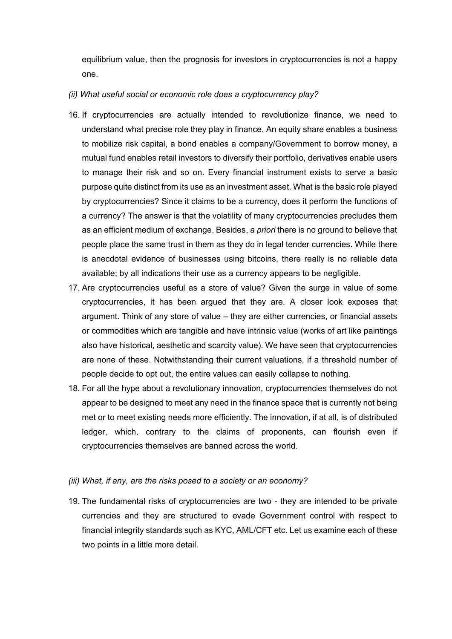equilibrium value, then the prognosis for investors in cryptocurrencies is not a happy one.

#### *(ii) What useful social or economic role does a cryptocurrency play?*

- 16. If cryptocurrencies are actually intended to revolutionize finance, we need to understand what precise role they play in finance. An equity share enables a business to mobilize risk capital, a bond enables a company/Government to borrow money, a mutual fund enables retail investors to diversify their portfolio, derivatives enable users to manage their risk and so on. Every financial instrument exists to serve a basic purpose quite distinct from its use as an investment asset. What is the basic role played by cryptocurrencies? Since it claims to be a currency, does it perform the functions of a currency? The answer is that the volatility of many cryptocurrencies precludes them as an efficient medium of exchange. Besides, *a priori* there is no ground to believe that people place the same trust in them as they do in legal tender currencies. While there is anecdotal evidence of businesses using bitcoins, there really is no reliable data available; by all indications their use as a currency appears to be negligible.
- 17. Are cryptocurrencies useful as a store of value? Given the surge in value of some cryptocurrencies, it has been argued that they are. A closer look exposes that argument. Think of any store of value – they are either currencies, or financial assets or commodities which are tangible and have intrinsic value (works of art like paintings also have historical, aesthetic and scarcity value). We have seen that cryptocurrencies are none of these. Notwithstanding their current valuations, if a threshold number of people decide to opt out, the entire values can easily collapse to nothing.
- 18. For all the hype about a revolutionary innovation, cryptocurrencies themselves do not appear to be designed to meet any need in the finance space that is currently not being met or to meet existing needs more efficiently. The innovation, if at all, is of distributed ledger, which, contrary to the claims of proponents, can flourish even if cryptocurrencies themselves are banned across the world.

#### *(iii) What, if any, are the risks posed to a society or an economy?*

19. The fundamental risks of cryptocurrencies are two - they are intended to be private currencies and they are structured to evade Government control with respect to financial integrity standards such as KYC, AML/CFT etc. Let us examine each of these two points in a little more detail.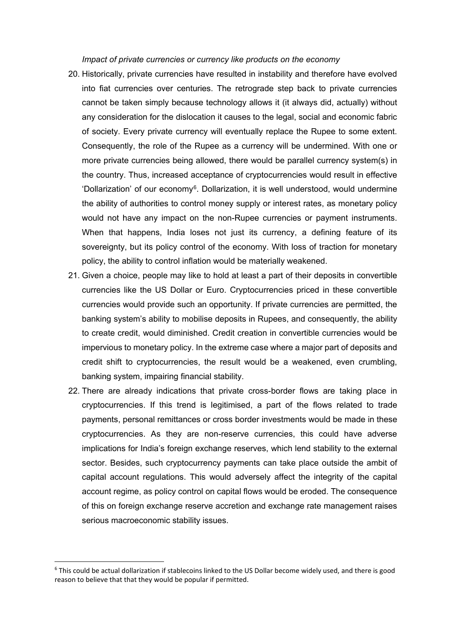*Impact of private currencies or currency like products on the economy*

- 20. Historically, private currencies have resulted in instability and therefore have evolved into fiat currencies over centuries. The retrograde step back to private currencies cannot be taken simply because technology allows it (it always did, actually) without any consideration for the dislocation it causes to the legal, social and economic fabric of society. Every private currency will eventually replace the Rupee to some extent. Consequently, the role of the Rupee as a currency will be undermined. With one or more private currencies being allowed, there would be parallel currency system(s) in the country. Thus, increased acceptance of cryptocurrencies would result in effective 'Dollarization' of our economy<sup>6</sup>. Dollarization, it is well understood, would undermine the ability of authorities to control money supply or interest rates, as monetary policy would not have any impact on the non-Rupee currencies or payment instruments. When that happens, India loses not just its currency, a defining feature of its sovereignty, but its policy control of the economy. With loss of traction for monetary policy, the ability to control inflation would be materially weakened.
- 21. Given a choice, people may like to hold at least a part of their deposits in convertible currencies like the US Dollar or Euro. Cryptocurrencies priced in these convertible currencies would provide such an opportunity. If private currencies are permitted, the banking system's ability to mobilise deposits in Rupees, and consequently, the ability to create credit, would diminished. Credit creation in convertible currencies would be impervious to monetary policy. In the extreme case where a major part of deposits and credit shift to cryptocurrencies, the result would be a weakened, even crumbling, banking system, impairing financial stability.
- 22. There are already indications that private cross-border flows are taking place in cryptocurrencies. If this trend is legitimised, a part of the flows related to trade payments, personal remittances or cross border investments would be made in these cryptocurrencies. As they are non-reserve currencies, this could have adverse implications for India's foreign exchange reserves, which lend stability to the external sector. Besides, such cryptocurrency payments can take place outside the ambit of capital account regulations. This would adversely affect the integrity of the capital account regime, as policy control on capital flows would be eroded. The consequence of this on foreign exchange reserve accretion and exchange rate management raises serious macroeconomic stability issues.

<span id="page-5-0"></span><sup>&</sup>lt;sup>6</sup> This could be actual dollarization if stablecoins linked to the US Dollar become widely used, and there is good reason to believe that that they would be popular if permitted.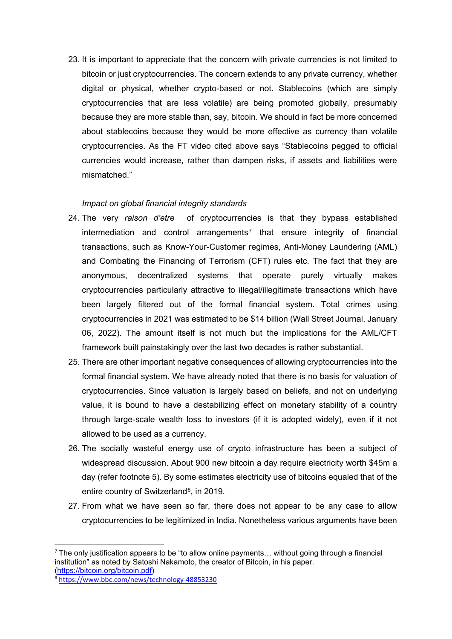23. It is important to appreciate that the concern with private currencies is not limited to bitcoin or just cryptocurrencies. The concern extends to any private currency, whether digital or physical, whether crypto-based or not. Stablecoins (which are simply cryptocurrencies that are less volatile) are being promoted globally, presumably because they are more stable than, say, bitcoin. We should in fact be more concerned about stablecoins because they would be more effective as currency than volatile cryptocurrencies. As the FT video cited above says "Stablecoins pegged to official currencies would increase, rather than dampen risks, if assets and liabilities were mismatched."

## *Impact on global financial integrity standards*

- 24. The very *raison d'etre* of cryptocurrencies is that they bypass established intermediation and control arrangements<sup>[7](#page-6-0)</sup> that ensure integrity of financial transactions, such as Know-Your-Customer regimes, Anti-Money Laundering (AML) and Combating the Financing of Terrorism (CFT) rules etc. The fact that they are anonymous, decentralized systems that operate purely virtually makes cryptocurrencies particularly attractive to illegal/illegitimate transactions which have been largely filtered out of the formal financial system. Total crimes using cryptocurrencies in 2021 was estimated to be \$14 billion (Wall Street Journal, January 06, 2022). The amount itself is not much but the implications for the AML/CFT framework built painstakingly over the last two decades is rather substantial.
- 25. There are other important negative consequences of allowing cryptocurrencies into the formal financial system. We have already noted that there is no basis for valuation of cryptocurrencies. Since valuation is largely based on beliefs, and not on underlying value, it is bound to have a destabilizing effect on monetary stability of a country through large-scale wealth loss to investors (if it is adopted widely), even if it not allowed to be used as a currency.
- 26. The socially wasteful energy use of crypto infrastructure has been a subject of widespread discussion. About 900 new bitcoin a day require electricity worth \$45m a day (refer footnote 5). By some estimates electricity use of bitcoins equaled that of the entire country of Switzerland<sup>[8](#page-6-1)</sup>, in 2019.
- 27. From what we have seen so far, there does not appear to be any case to allow cryptocurrencies to be legitimized in India. Nonetheless various arguments have been

<span id="page-6-0"></span> $7$  The only justification appears to be "to allow online payments... without going through a financial institution" as noted by Satoshi Nakamoto, the creator of Bitcoin, in his paper. [\(https://bitcoin.org/bitcoin.pdf\)](https://bitcoin.org/bitcoin.pdf)

<span id="page-6-1"></span>

<sup>8</sup> <https://www.bbc.com/news/technology-48853230>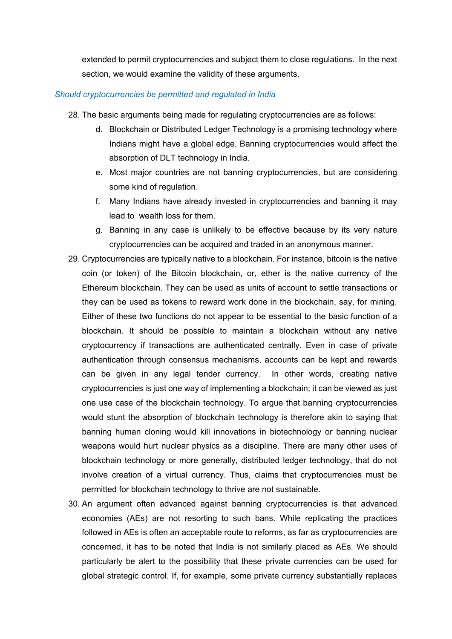extended to permit cryptocurrencies and subject them to close regulations. In the next section, we would examine the validity of these arguments.

### *Should cryptocurrencies be permitted and regulated in India*

- 28. The basic arguments being made for regulating cryptocurrencies are as follows:
	- d. Blockchain or Distributed Ledger Technology is a promising technology where Indians might have a global edge. Banning cryptocurrencies would affect the absorption of DLT technology in India.
	- e. Most major countries are not banning cryptocurrencies, but are considering some kind of regulation.
	- f. Many Indians have already invested in cryptocurrencies and banning it may lead to wealth loss for them.
	- g. Banning in any case is unlikely to be effective because by its very nature cryptocurrencies can be acquired and traded in an anonymous manner.
- 29. Cryptocurrencies are typically native to a blockchain. For instance, bitcoin is the native coin (or token) of the Bitcoin blockchain, or, ether is the native currency of the Ethereum blockchain. They can be used as units of account to settle transactions or they can be used as tokens to reward work done in the blockchain, say, for mining. Either of these two functions do not appear to be essential to the basic function of a blockchain. It should be possible to maintain a blockchain without any native cryptocurrency if transactions are authenticated centrally. Even in case of private authentication through consensus mechanisms, accounts can be kept and rewards can be given in any legal tender currency. In other words, creating native cryptocurrencies is just one way of implementing a blockchain; it can be viewed as just one use case of the blockchain technology. To argue that banning cryptocurrencies would stunt the absorption of blockchain technology is therefore akin to saying that banning human cloning would kill innovations in biotechnology or banning nuclear weapons would hurt nuclear physics as a discipline. There are many other uses of blockchain technology or more generally, distributed ledger technology, that do not involve creation of a virtual currency. Thus, claims that cryptocurrencies must be permitted for blockchain technology to thrive are not sustainable.
- 30. An argument often advanced against banning cryptocurrencies is that advanced economies (AEs) are not resorting to such bans. While replicating the practices followed in AEs is often an acceptable route to reforms, as far as cryptocurrencies are concerned, it has to be noted that India is not similarly placed as AEs. We should particularly be alert to the possibility that these private currencies can be used for global strategic control. If, for example, some private currency substantially replaces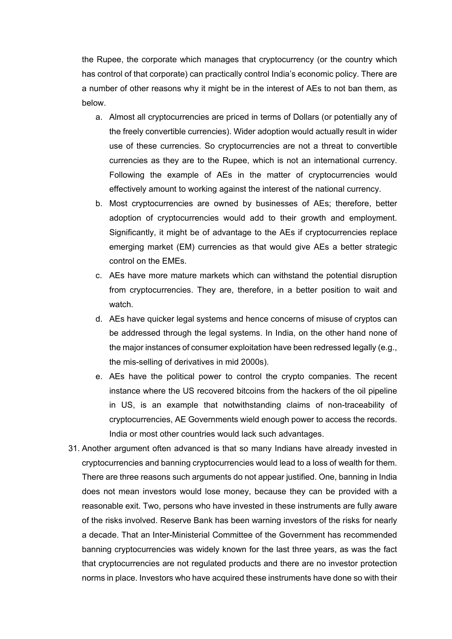the Rupee, the corporate which manages that cryptocurrency (or the country which has control of that corporate) can practically control India's economic policy. There are a number of other reasons why it might be in the interest of AEs to not ban them, as below.

- a. Almost all cryptocurrencies are priced in terms of Dollars (or potentially any of the freely convertible currencies). Wider adoption would actually result in wider use of these currencies. So cryptocurrencies are not a threat to convertible currencies as they are to the Rupee, which is not an international currency. Following the example of AEs in the matter of cryptocurrencies would effectively amount to working against the interest of the national currency.
- b. Most cryptocurrencies are owned by businesses of AEs; therefore, better adoption of cryptocurrencies would add to their growth and employment. Significantly, it might be of advantage to the AEs if cryptocurrencies replace emerging market (EM) currencies as that would give AEs a better strategic control on the EMEs.
- c. AEs have more mature markets which can withstand the potential disruption from cryptocurrencies. They are, therefore, in a better position to wait and watch.
- d. AEs have quicker legal systems and hence concerns of misuse of cryptos can be addressed through the legal systems. In India, on the other hand none of the major instances of consumer exploitation have been redressed legally (e.g., the mis-selling of derivatives in mid 2000s).
- e. AEs have the political power to control the crypto companies. The recent instance where the US recovered bitcoins from the hackers of the oil pipeline in US, is an example that notwithstanding claims of non-traceability of cryptocurrencies, AE Governments wield enough power to access the records. India or most other countries would lack such advantages.
- 31. Another argument often advanced is that so many Indians have already invested in cryptocurrencies and banning cryptocurrencies would lead to a loss of wealth for them. There are three reasons such arguments do not appear justified. One, banning in India does not mean investors would lose money, because they can be provided with a reasonable exit. Two, persons who have invested in these instruments are fully aware of the risks involved. Reserve Bank has been warning investors of the risks for nearly a decade. That an Inter-Ministerial Committee of the Government has recommended banning cryptocurrencies was widely known for the last three years, as was the fact that cryptocurrencies are not regulated products and there are no investor protection norms in place. Investors who have acquired these instruments have done so with their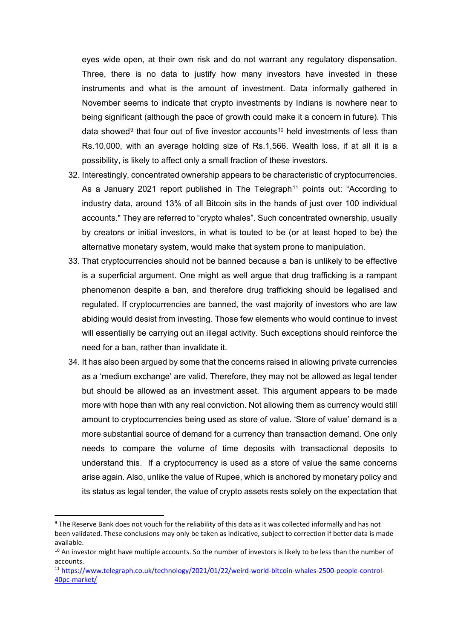eyes wide open, at their own risk and do not warrant any regulatory dispensation. Three, there is no data to justify how many investors have invested in these instruments and what is the amount of investment. Data informally gathered in November seems to indicate that crypto investments by Indians is nowhere near to being significant (although the pace of growth could make it a concern in future). This data showed<sup>[9](#page-9-0)</sup> that four out of five investor accounts<sup>[10](#page-9-1)</sup> held investments of less than Rs.10,000, with an average holding size of Rs.1,566. Wealth loss, if at all it is a possibility, is likely to affect only a small fraction of these investors.

- 32. Interestingly, concentrated ownership appears to be characteristic of cryptocurrencies. As a January 2021 report published in The Telegraph<sup>[11](#page-9-2)</sup> points out: "According to industry data, around 13% of all Bitcoin sits in the hands of just over 100 individual accounts." They are referred to "crypto whales". Such concentrated ownership, usually by creators or initial investors, in what is touted to be (or at least hoped to be) the alternative monetary system, would make that system prone to manipulation.
- 33. That cryptocurrencies should not be banned because a ban is unlikely to be effective is a superficial argument. One might as well argue that drug trafficking is a rampant phenomenon despite a ban, and therefore drug trafficking should be legalised and regulated. If cryptocurrencies are banned, the vast majority of investors who are law abiding would desist from investing. Those few elements who would continue to invest will essentially be carrying out an illegal activity. Such exceptions should reinforce the need for a ban, rather than invalidate it.
- 34. It has also been argued by some that the concerns raised in allowing private currencies as a 'medium exchange' are valid. Therefore, they may not be allowed as legal tender but should be allowed as an investment asset. This argument appears to be made more with hope than with any real conviction. Not allowing them as currency would still amount to cryptocurrencies being used as store of value. 'Store of value' demand is a more substantial source of demand for a currency than transaction demand. One only needs to compare the volume of time deposits with transactional deposits to understand this. If a cryptocurrency is used as a store of value the same concerns arise again. Also, unlike the value of Rupee, which is anchored by monetary policy and its status as legal tender, the value of crypto assets rests solely on the expectation that

<span id="page-9-0"></span> <sup>9</sup> The Reserve Bank does not vouch for the reliability of this data as it was collected informally and has not been validated. These conclusions may only be taken as indicative, subject to correction if better data is made available.

<span id="page-9-1"></span><sup>&</sup>lt;sup>10</sup> An investor might have multiple accounts. So the number of investors is likely to be less than the number of accounts.

<span id="page-9-2"></span><sup>11</sup> [https://www.telegraph.co.uk/technology/2021/01/22/weird-world-bitcoin-whales-2500-people-control-](https://www.telegraph.co.uk/technology/2021/01/22/weird-world-bitcoin-whales-2500-people-control-40pc-market/)[40pc-market/](https://www.telegraph.co.uk/technology/2021/01/22/weird-world-bitcoin-whales-2500-people-control-40pc-market/)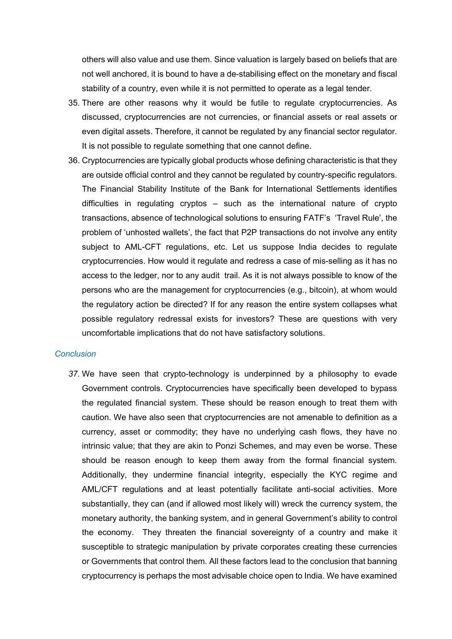others will also value and use them. Since valuation is largely based on beliefs that are not well anchored, it is bound to have a de-stabilising effect on the monetary and fiscal stability of a country, even while it is not permitted to operate as a legal tender.

- 35. There are other reasons why it would be futile to regulate cryptocurrencies. As discussed, cryptocurrencies are not currencies, or financial assets or real assets or even digital assets. Therefore, it cannot be regulated by any financial sector regulator. It is not possible to regulate something that one cannot define.
- 36. Cryptocurrencies are typically global products whose defining characteristic is that they are outside official control and they cannot be regulated by country-specific regulators. The Financial Stability Institute of the Bank for International Settlements identifies difficulties in regulating cryptos – such as the international nature of crypto transactions, absence of technological solutions to ensuring FATF's 'Travel Rule', the problem of 'unhosted wallets', the fact that P2P transactions do not involve any entity subject to AML-CFT regulations, etc. Let us suppose India decides to regulate cryptocurrencies. How would it regulate and redress a case of mis-selling as it has no access to the ledger, nor to any audit trail. As it is not always possible to know of the persons who are the management for cryptocurrencies (e.g., bitcoin), at whom would the regulatory action be directed? If for any reason the entire system collapses what possible regulatory redressal exists for investors? These are questions with very uncomfortable implications that do not have satisfactory solutions.

### *Conclusion*

*37.* We have seen that crypto-technology is underpinned by a philosophy to evade Government controls. Cryptocurrencies have specifically been developed to bypass the regulated financial system. These should be reason enough to treat them with caution. We have also seen that cryptocurrencies are not amenable to definition as a currency, asset or commodity; they have no underlying cash flows, they have no intrinsic value; that they are akin to Ponzi Schemes, and may even be worse. These should be reason enough to keep them away from the formal financial system. Additionally, they undermine financial integrity, especially the KYC regime and AML/CFT regulations and at least potentially facilitate anti-social activities. More substantially, they can (and if allowed most likely will) wreck the currency system, the monetary authority, the banking system, and in general Government's ability to control the economy. They threaten the financial sovereignty of a country and make it susceptible to strategic manipulation by private corporates creating these currencies or Governments that control them. All these factors lead to the conclusion that banning cryptocurrency is perhaps the most advisable choice open to India. We have examined